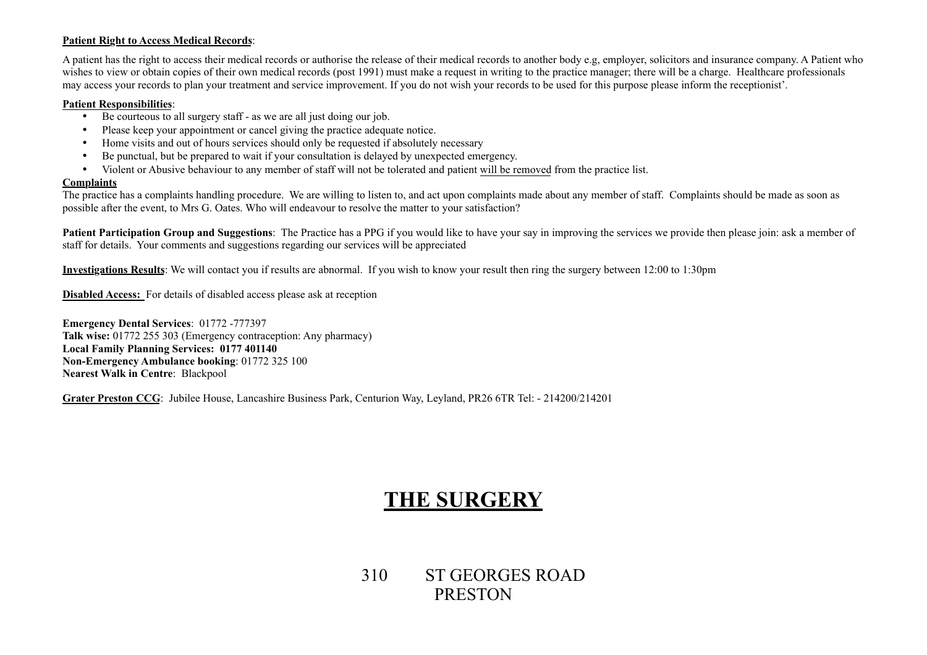#### **Patient Right to Access Medical Records**:

A patient has the right to access their medical records or authorise the release of their medical records to another body e.g, employer, solicitors and insurance company. A Patient who wishes to view or obtain copies of their own medical records (post 1991) must make a request in writing to the practice manager; there will be a charge. Healthcare professionals may access your records to plan your treatment and service improvement. If you do not wish your records to be used for this purpose please inform the receptionist'.

#### **Patient Responsibilities**:

- Be courteous to all surgery staff as we are all just doing our job.
- Please keep your appointment or cancel giving the practice adequate notice.
- Home visits and out of hours services should only be requested if absolutely necessary
- Be punctual, but be prepared to wait if your consultation is delayed by unexpected emergency.
- Violent or Abusive behaviour to any member of staff will not be tolerated and patient will be removed from the practice list.

#### **Complaints**

The practice has a complaints handling procedure. We are willing to listen to, and act upon complaints made about any member of staff. Complaints should be made as soon as possible after the event, to Mrs G. Oates. Who will endeavour to resolve the matter to your satisfaction?

**Patient Participation Group and Suggestions**: The Practice has a PPG if you would like to have your say in improving the services we provide then please join: ask a member of staff for details. Your comments and suggestions regarding our services will be appreciated

**Investigations Results**: We will contact you if results are abnormal. If you wish to know your result then ring the surgery between 12:00 to 1:30pm

**Disabled Access:** For details of disabled access please ask at reception

**Emergency Dental Services**: 01772 -777397 **Talk wise:** 01772 255 303 (Emergency contraception: Any pharmacy) **Local Family Planning Services: 0177 401140 Non-Emergency Ambulance booking**: 01772 325 100 **Nearest Walk in Centre**: Blackpool

**Grater Preston CCG**: Jubilee House, Lancashire Business Park, Centurion Way, Leyland, PR26 6TR Tel: - 214200/214201

# **THE SURGERY**

310 ST GEORGES ROAD PRESTON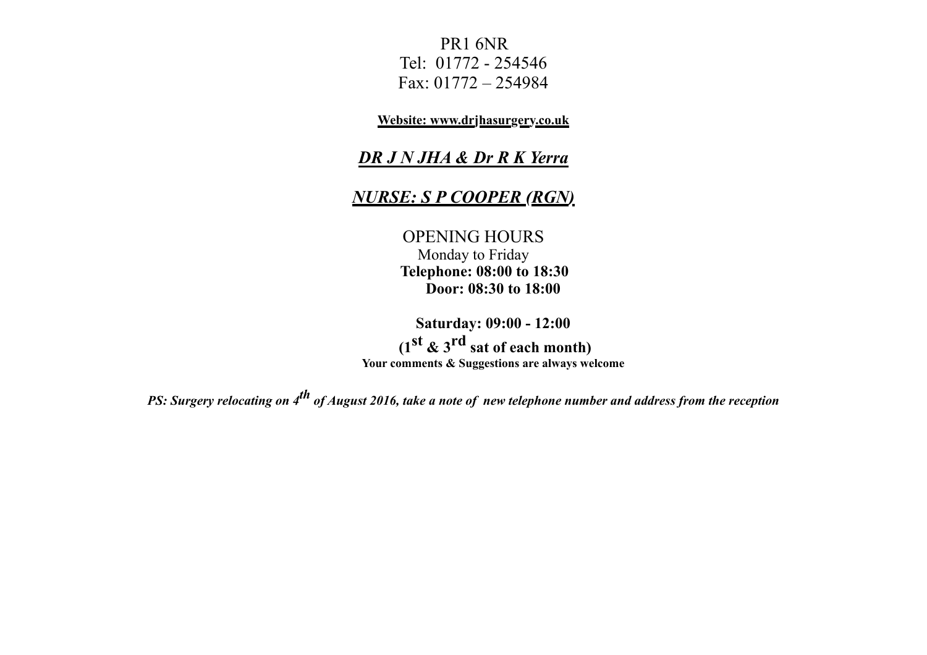PR1 6NR Tel: 01772 - 254546 Fax: 01772 – 254984

**Website: www.drjhasurgery.co.uk**

# *DR J N JHA & Dr R K Yerra*

# *NURSE: S P COOPER (RGN)*

OPENING HOURS Monday to Friday  **Telephone: 08:00 to 18:30 Door: 08:30 to 18:00**

**Saturday: 09:00 - 12:00 (1st & 3rd sat of each month) Your comments & Suggestions are always welcome**

*PS: Surgery relocating on 4th of August 2016, take a note of new telephone number and address from the reception*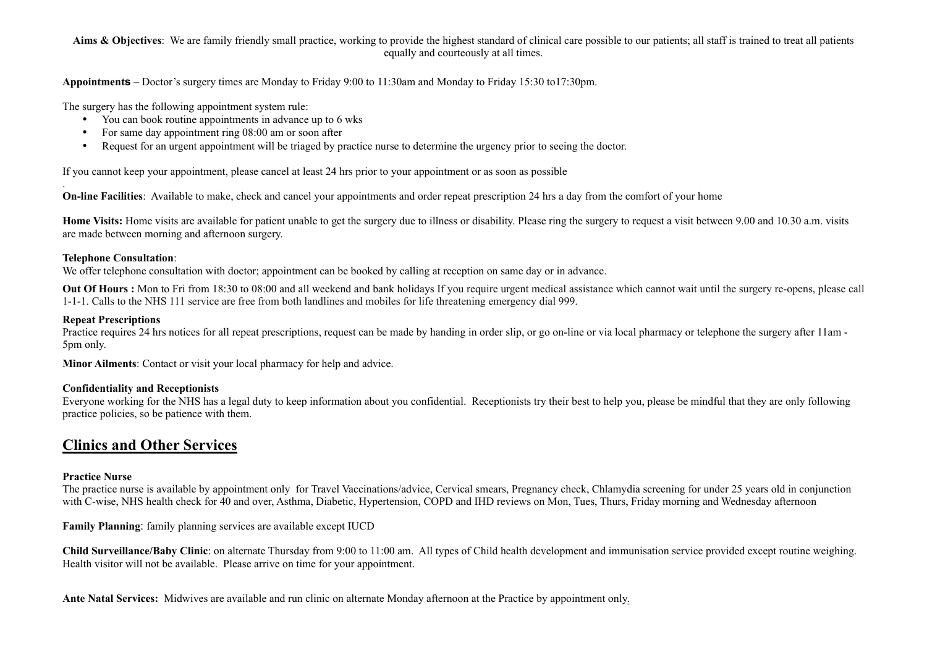#### Aims & Objectives: We are family friendly small practice, working to provide the highest standard of clinical care possible to our patients; all staff is trained to treat all patients equally and courteously at all times.

**Appointments** – Doctor's surgery times are Monday to Friday 9:00 to 11:30am and Monday to Friday 15:30 to17:30pm.

The surgery has the following appointment system rule:

- You can book routine appointments in advance up to 6 wks
- For same day appointment ring 08:00 am or soon after
- Request for an urgent appointment will be triaged by practice nurse to determine the urgency prior to seeing the doctor.

If you cannot keep your appointment, please cancel at least 24 hrs prior to your appointment or as soon as possible

**On-line Facilities**: Available to make, check and cancel your appointments and order repeat prescription 24 hrs a day from the comfort of your home

**Home Visits:** Home visits are available for patient unable to get the surgery due to illness or disability. Please ring the surgery to request a visit between 9.00 and 10.30 a.m. visits are made between morning and afternoon surgery.

### **Telephone Consultation**:

.

We offer telephone consultation with doctor; appointment can be booked by calling at reception on same day or in advance.

**Out Of Hours :** Mon to Fri from 18:30 to 08:00 and all weekend and bank holidays If you require urgent medical assistance which cannot wait until the surgery re-opens, please call 1-1-1. Calls to the NHS 111 service are free from both landlines and mobiles for life threatening emergency dial 999.

### **Repeat Prescriptions**

Practice requires 24 hrs notices for all repeat prescriptions, request can be made by handing in order slip, or go on-line or via local pharmacy or telephone the surgery after 11am -5pm only.

**Minor Ailments**: Contact or visit your local pharmacy for help and advice.

# **Confidentiality and Receptionists**

Everyone working for the NHS has a legal duty to keep information about you confidential. Receptionists try their best to help you, please be mindful that they are only following practice policies, so be patience with them.

# **Clinics and Other Services**

# **Practice Nurse**

The practice nurse is available by appointment only for Travel Vaccinations/advice, Cervical smears, Pregnancy check, Chlamydia screening for under 25 years old in conjunction with C-wise, NHS health check for 40 and over, Asthma, Diabetic, Hypertension, COPD and IHD reviews on Mon, Tues, Thurs, Friday morning and Wednesday afternoon

**Family Planning**: family planning services are available except IUCD

**Child Surveillance/Baby Clinic**: on alternate Thursday from 9:00 to 11:00 am. All types of Child health development and immunisation service provided except routine weighing. Health visitor will not be available. Please arrive on time for your appointment.

**Ante Natal Services:** Midwives are available and run clinic on alternate Monday afternoon at the Practice by appointment only.